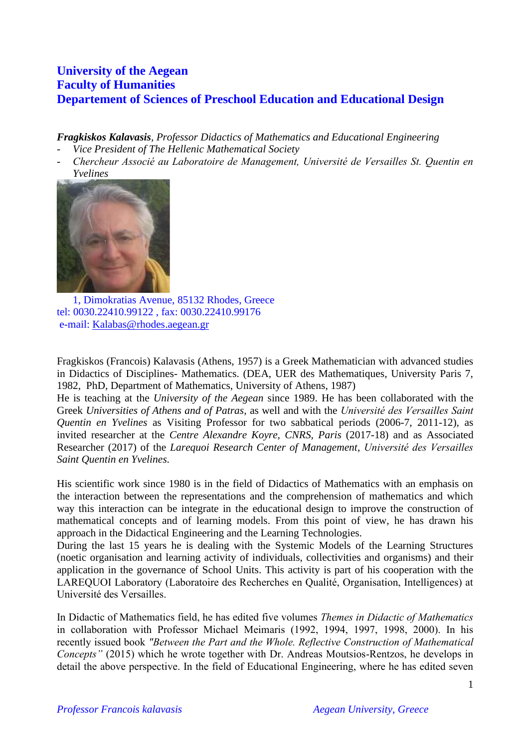# **University of the Aegean Faculty of Humanities Departement of Sciences of Preschool Education and Educational Design**

*Fragkiskos Kalavasis, Professor Didactics of Mathematics and Educational Engineering*

- *Vice President of The Hellenic Mathematical Society*
- *Chercheur Associé au Laboratoire de Management, Université de Versailles St. Quentin en Yvelines*



1, Dimokratias Avenue, 85132 Rhodes, Greece tel: 0030.22410.99122 , fax: 0030.22410.99176 e-mail: [Kalabas@rhodes.aegean.gr](mailto:Kalabas@rhodes.aegean.gr) 

Fragkiskos (Francois) Kalavasis (Athens, 1957) is a Greek Mathematician with advanced studies in Didactics of Disciplines- Mathematics. (DEA, UER des Mathematiques, University Paris 7, 1982, PhD, Department of Mathematics, University of Athens, 1987)

He is teaching at the *University of the Aegean* since 1989. He has been collaborated with the Greek *Universities of Athens and of Patras,* as well and with the *Université des Versailles Saint Quentin en Yvelines* as Visiting Professor for two sabbatical periods (2006-7, 2011-12), as invited researcher at the *Centre Alexandre Koyre, CNRS, Paris* (2017-18) and as Associated Researcher (2017) of the *Larequoi Research Center of Management, Université des Versailles Saint Quentin en Yvelines.*

His scientific work since 1980 is in the field of Didactics of Mathematics with an emphasis on the interaction between the representations and the comprehension of mathematics and which way this interaction can be integrate in the educational design to improve the construction of mathematical concepts and of learning models. From this point of view, he has drawn his approach in the Didactical Engineering and the Learning Technologies.

During the last 15 years he is dealing with the Systemic Models of the Learning Structures (noetic organisation and learning activity of individuals, collectivities and organisms) and their application in the governance of School Units. This activity is part of his cooperation with the LAREQUOI Laboratory (Laboratoire des Recherches en Qualité, Organisation, Intelligences) at Université des Versailles.

In Didactic of Mathematics field, he has edited five volumes *Themes in Didactic of Mathematics*  in collaboration with Professor Michael Meimaris (1992, 1994, 1997, 1998, 2000). In his recently issued book *"Between the Part and the Whole. Reflective Construction of Mathematical Concepts"* (2015) which he wrote together with Dr. Andreas Moutsios-Rentzos, he develops in detail the above perspective. In the field of Educational Engineering, where he has edited seven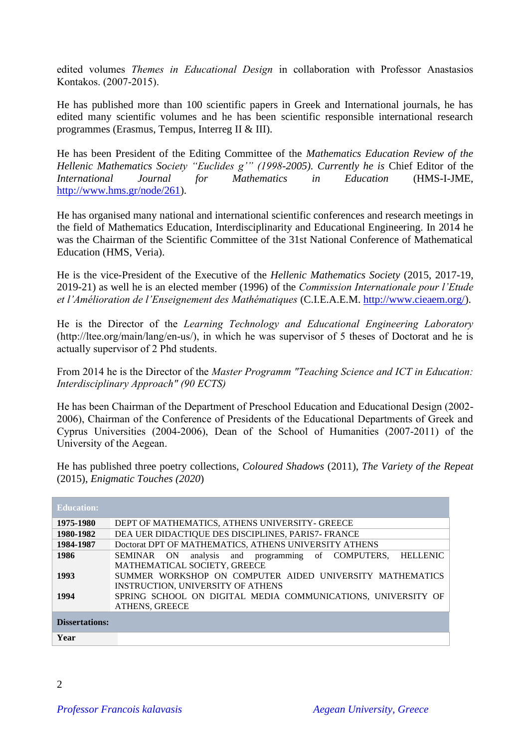edited volumes *Themes in Educational Design* in collaboration with Professor Anastasios Kontakos. (2007-2015).

He has published more than 100 scientific papers in Greek and International journals, he has edited many scientific volumes and he has been scientific responsible international research programmes (Erasmus, Tempus, Interreg II & III).

He has been President of the Editing Committee of the *Mathematics Education Review of the Hellenic Mathematics Society "Euclides g'" (1998-2005). Currently he is* Chief Editor of the *International Journal for Mathematics in Education* (HMS-I-JME, [http://www.hms.gr/node/261\)](http://www.hms.gr/node/261).

He has organised many national and international scientific conferences and research meetings in the field of Mathematics Education, Interdisciplinarity and Educational Engineering. In 2014 he was the Chairman of the Scientific Committee of the 31st National Conference of Mathematical Education (HMS, Veria).

He is the vice-President of the Executive of the *Hellenic Mathematics Society* (2015, 2017-19, 2019-21) as well he is an elected member (1996) of the *Commission Internationale pour l'Etude et l'Amélioration de l'Enseignement des Mathématiques* (C.I.E.A.E.M. [http://www.cieaem.org/\)](http://www.cieaem.org/).

He is the Director of the *Learning Technology and Educational Engineering Laboratory*  (http://ltee.org/main/lang/en-us/), in which he was supervisor of 5 theses of Doctorat and he is actually supervisor of 2 Phd students.

From 2014 he is the Director of the *Master Programm "Teaching Science and ICT in Education: Interdisciplinary Approach" (90 ECTS)* 

He has been Chairman of the Department of Preschool Education and Educational Design (2002- 2006), Chairman of the Conference of Presidents of the Educational Departments of Greek and Cyprus Universities (2004-2006), Dean of the School of Humanities (2007-2011) of the University of the Aegean.

He has published three poetry collections, *Coloured Shadows* (2011), *The Variety of the Repeat* (2015), *Enigmatic Touches (2020*)

| <b>Education:</b>     |                                                                         |
|-----------------------|-------------------------------------------------------------------------|
| 1975-1980             | DEPT OF MATHEMATICS, ATHENS UNIVERSITY - GREECE                         |
| 1980-1982             | DEA UER DIDACTIQUE DES DISCIPLINES, PARIS7- FRANCE                      |
| 1984-1987             | Doctorat DPT OF MATHEMATICS, ATHENS UNIVERSITY ATHENS                   |
| 1986                  | analysis and programming of COMPUTERS,<br><b>HELLENIC</b><br>SEMINAR ON |
|                       | MATHEMATICAL SOCIETY, GREECE                                            |
| 1993                  | SUMMER WORKSHOP ON COMPUTER AIDED UNIVERSITY MATHEMATICS                |
|                       | <b>INSTRUCTION, UNIVERSITY OF ATHENS</b>                                |
| 1994                  | SPRING SCHOOL ON DIGITAL MEDIA COMMUNICATIONS, UNIVERSITY OF            |
|                       | <b>ATHENS, GREECE</b>                                                   |
| <b>Dissertations:</b> |                                                                         |
| Year                  |                                                                         |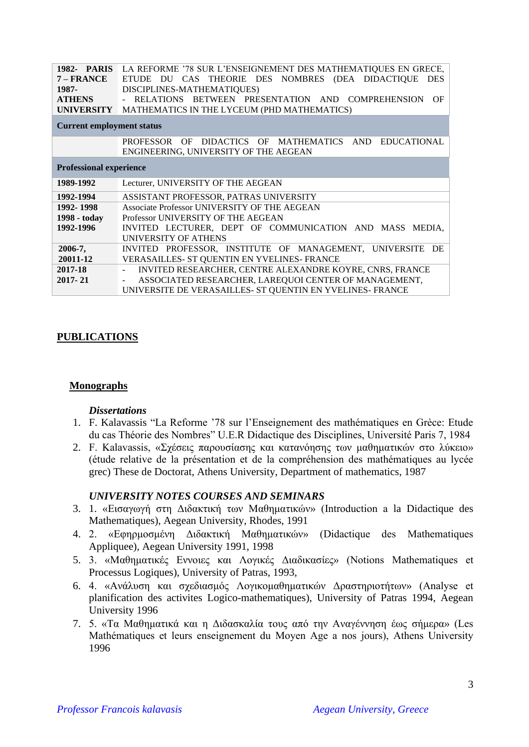|                                  | 1982- PARIS LA REFORME '78 SUR L'ENSEIGNEMENT DES MATHEMATIQUES EN GRECE,                      |  |
|----------------------------------|------------------------------------------------------------------------------------------------|--|
| 7 – FRANCE                       | ETUDE DU CAS THEORIE DES NOMBRES (DEA DIDACTIQUE<br><b>DES</b>                                 |  |
| 1987-                            | DISCIPLINES-MATHEMATIQUES)                                                                     |  |
| <b>ATHENS</b>                    | RELATIONS BETWEEN PRESENTATION AND COMPREHENSION<br>OF                                         |  |
| <b>UNIVERSITY</b>                | MATHEMATICS IN THE LYCEUM (PHD MATHEMATICS)                                                    |  |
| <b>Current employment status</b> |                                                                                                |  |
|                                  | PROFESSOR OF DIDACTICS OF MATHEMATICS AND EDUCATIONAL<br>ENGINEERING, UNIVERSITY OF THE AEGEAN |  |
| <b>Professional experience</b>   |                                                                                                |  |
| 1989-1992                        | Lecturer, UNIVERSITY OF THE AEGEAN                                                             |  |
| 1992-1994                        | ASSISTANT PROFESSOR, PATRAS UNIVERSITY                                                         |  |
| 1992-1998                        | Associate Professor UNIVERSITY OF THE AEGEAN                                                   |  |
| 1998 - today                     | Professor UNIVERSITY OF THE AEGEAN                                                             |  |
| 1992-1996                        | INVITED LECTURER, DEPT OF COMMUNICATION AND MASS MEDIA,                                        |  |
|                                  | <b>UNIVERSITY OF ATHENS</b>                                                                    |  |
| $2006 - 7$ ,                     | INVITED PROFESSOR, INSTITUTE OF MANAGEMENT, UNIVERSITE DE                                      |  |
| 20011-12                         | VERASAILLES- ST QUENTIN EN YVELINES- FRANCE                                                    |  |
| 2017-18                          | INVITED RESEARCHER, CENTRE ALEXANDRE KOYRE, CNRS, FRANCE                                       |  |
| $2017 - 21$                      | ASSOCIATED RESEARCHER, LAREQUOI CENTER OF MANAGEMENT,                                          |  |
|                                  | UNIVERSITE DE VERASAILLES- ST QUENTIN EN YVELINES- FRANCE                                      |  |

### **PUBLICATIONS**

#### **Monographs**

#### *Dissertations*

- 1. F. Kalavassis "La Reforme '78 sur l'Enseignement des mathématiques en Grèce: Etude du cas Théorie des Nombres" U.E.R Didactique des Disciplines, Université Paris 7, 1984
- 2. F. Kalavassis, «Σχέσεις παρουσίασης και κατανόησης των μαθηματικών στο λύκειο» (étude relative de la présentation et de la compréhension des mathématiques au lycée grec) These de Doctorat, Athens University, Department of mathematics, 1987

#### *UNIVERSITY NOTES COURSES AND SEMINARS*

- 3. 1. «Εισαγωγή στη Διδακτική των Μαθηματικών» (Introduction a la Didactique des Mathematiques), Aegean University, Rhodes, 1991
- 4. 2. «Εφηρμοσμένη Διδακτική Μαθηματικών» (Didactique des Mathematiques Appliquee), Aegean University 1991, 1998
- 5. 3. «Μαθηματικές Εννοιες και Λογικές Διαδικασίες» (Notions Mathematiques et Processus Logiques), University of Patras, 1993,
- 6. 4. «Ανάλυση και σχεδιασμός Λογικομαθηματικών Δραστηριοτήτων» (Analyse et planification des activites Logico-mathematiques), University of Patras 1994, Aegean University 1996
- 7. 5. «Τα Μαθηματικά και η Διδασκαλία τους από την Αναγέννηση έως σήμερα» (Les Mathématiques et leurs enseignement du Moyen Age a nos jours), Athens University 1996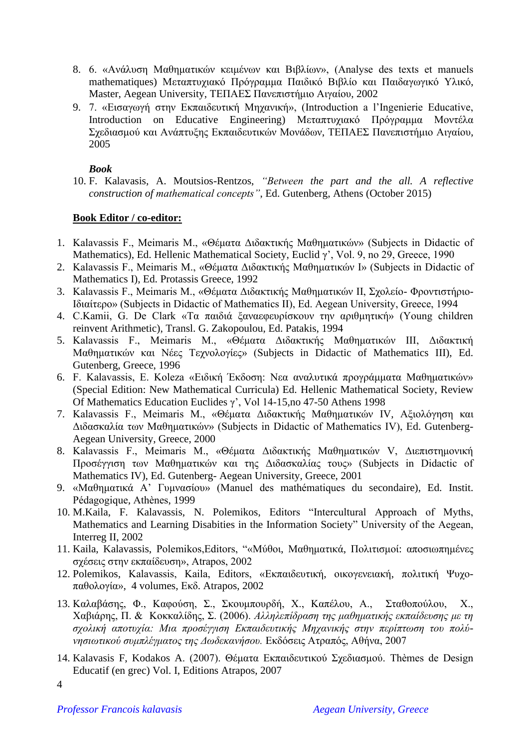- 8. 6. «Ανάλυση Μαθηματικών κειμένων και Βιβλίων», (Analyse des texts et manuels mathematiques) Μεταπτυχιακό Πρόγραμμα Παιδικό Βιβλίο και Παιδαγωγικό Υλικό, Master, Aegean University, ΤΕΠΑΕΣ Πανεπιστήμιο Αιγαίου, 2002
- 9. 7. «Εισαγωγή στην Εκπαιδευτική Μηχανική», (Introduction a l'Ingenierie Educative, Introduction on Educative Engineering) Μεταπτυχιακό Πρόγραμμα Μοντέλα Σχεδιασμού και Ανάπτυξης Εκπαιδευτικών Μονάδων, ΤΕΠΑΕΣ Πανεπιστήμιο Αιγαίου, 2005

### *Book*

10. F. Kalavasis, A. Moutsios-Rentzos, *"Between the part and the all. A reflective construction of mathematical concepts"*, Ed. Gutenberg, Athens (October 2015)

# **Book Editor / co-editor:**

- 1. Kalavassis F., Meimaris M., «Θέματα Διδακτικής Μαθηματικών» (Subjects in Didactic of Mathematics), Ed. Hellenic Mathematical Society, Euclid γ', Vol. 9, no 29, Greece, 1990
- 2. Kalavassis F., Meimaris M., «Θέματα Διδακτικής Μαθηματικών I» (Subjects in Didactic of Mathematics I), Ed. Protassis Greece, 1992
- 3. Kalavassis F., Meimaris M., «Θέματα Διδακτικής Μαθηματικών II, Σχολείο- Φροντιστήριο-Ιδιαίτερο» (Subjects in Didactic of Mathematics II), Ed. Aegean University, Greece, 1994
- 4. C.Kamii, G. De Clark «Τα παιδιά ξαναεφευρίσκουν την αριθμητική» (Young children reinvent Arithmetic), Transl. G. Zakopoulou, Ed. Patakis, 1994
- 5. Kalavassis F., Meimaris M., «Θέματα Διδακτικής Μαθηματικών III, Διδακτική Μαθηματικών και Νέες Τεχνολογίες» (Subjects in Didactic of Mathematics III), Ed. Gutenberg, Greece, 1996
- 6. F. Kalavassis, E. Koleza «Ειδική Έκδοση: Νεα αναλυτικά προγράμματα Μαθηματικών» (Special Edition: New Mathematical Curricula) Ed. Hellenic Mathematical Society, Review Of Mathematics Education Euclides γ', Vol 14-15,no 47-50 Athens 1998
- 7. Kalavassis F., Meimaris M., «Θέματα Διδακτικής Μαθηματικών IV, Αξιολόγηση και Διδασκαλία των Μαθηματικών» (Subjects in Didactic of Mathematics IV), Ed. Gutenberg-Aegean University, Greece, 2000
- 8. Kalavassis F., Meimaris M., «Θέματα Διδακτικής Μαθηματικών V, Διεπιστημονική Προσέγγιση των Μαθηματικών και της Διδασκαλίας τους» (Subjects in Didactic of Mathematics IV), Ed. Gutenberg- Aegean University, Greece, 2001
- 9. «Μαθηματικά Α' Γυμνασίου» (Manuel des mathématiques du secondaire), Ed. Instit. Pédagogique, Athènes, 1999
- 10. M.Kaila, F. Kalavassis, N. Polemikos, Editors "Intercultural Approach of Myths, Mathematics and Learning Disabities in the Information Society" University of the Aegean, Interreg II, 2002
- 11. Kaila, Kalavassis, Polemikos,Editors, "«Μύθοι, Μαθηματικά, Πολιτισμοί: αποσιωπημένες σχέσεις στην εκπαίδευση», Atrapos, 2002
- 12. Polemikos, Kalavassis, Kaila, Editors, «Εκπαιδευτική, οικογενειακή, πολιτική Ψυχοπαθολογία», 4 volumes, Εκδ. Atrapos, 2002
- 13. Καλαβάσης, Φ., Καφούση, Σ., Σκουμπουρδή, Χ., Καπέλου, Α., Σταθοπούλου, Χ., Χαβιάρης, Π. & Κοκκαλίδης, Σ. (2006). *Αλληλεπίδραση της μαθηματικής εκπαίδευσης με τη σχολική αποτυχία: Μια προσέγγιση Εκπαιδευτικής Μηχανικής στην περίπτωση του πολύνησιωτικού συμπλέγματος της Δωδεκανήσου.* Εκδόσεις Ατραπός, Αθήνα, 2007
- 14. Kalavasis F, Kodakos A. (2007). Θέματα Εκπαιδευτικού Σχεδιασμού. Thèmes de Design Educatif (en grec) Vol. I, Editions Atrapos, 2007

<sup>4</sup>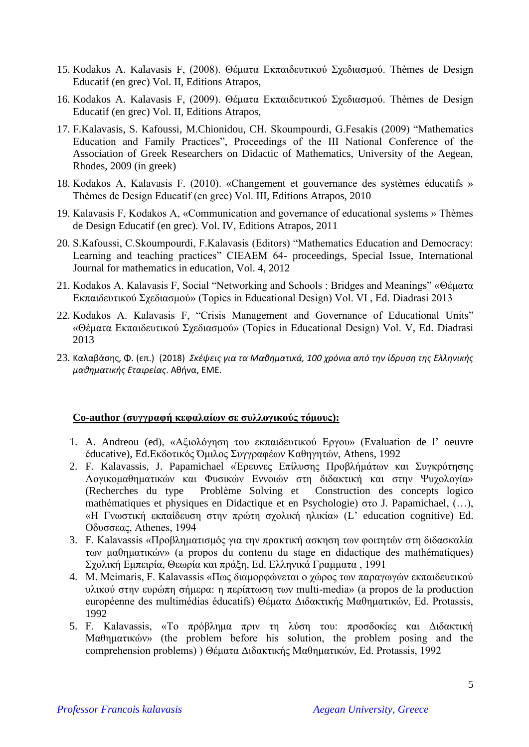- 15. Kodakos A. Kalavasis F, (2008). Θέματα Εκπαιδευτικού Σχεδιασμού. Thèmes de Design Educatif (en grec) Vol. II, Editions Atrapos,
- 16. Kodakos A. Kalavasis F, (2009). Θέματα Εκπαιδευτικού Σχεδιασμού. Thèmes de Design Educatif (en grec) Vol. II, Editions Atrapos,
- 17. F.Kalavasis, S. Kafoussi, M.Chionidou, CH. Skoumpourdi, G.Fesakis (2009) "Mathematics Education and Family Practices", Proceedings of the III National Conference of the Association of Greek Researchers on Didactic of Mathematics, University of the Aegean, Rhodes, 2009 (in greek)
- 18. Kodakos A, Kalavasis F. (2010). «Changement et gouvernance des systèmes éducatifs » Thèmes de Design Educatif (en grec) Vol. III, Editions Atrapos, 2010
- 19. Kalavasis F, Kodakos A, «Communication and governance of educational systems » Thèmes de Design Educatif (en grec). Vol. IV, Editions Atrapos, 2011
- 20. S.Kafoussi, C.Skoumpourdi, F.Kalavasis (Editors) "Mathematics Education and Democracy: Learning and teaching practices" CIEAEM 64- proceedings, Special Issue, International Journal for mathematics in education, Vol. 4, 2012
- 21. Kodakos A. Kalavasis F, Social "Networking and Schools : Bridges and Meanings" «Θέματα Εκπαιδευτικού Σχεδιασμού» (Topics in Educational Design) Vol. VI , Ed. Diadrasi 2013
- 22. Kodakos A. Kalavasis F, "Crisis Management and Governance of Educational Units" «Θέματα Εκπαιδευτικού Σχεδιασμού» (Topics in Educational Design) Vol. V, Ed. Diadrasi 2013
- 23. Καλαβάσης, Φ. (επ.) (2018) *Σκέψεις για τα Μαθηματικά, 100 χρόνια από την ίδρυση της Ελληνικής μαθηματικής Εταιρείας*. Αθήνα, ΕΜΕ.

### **Co-author (συγγραφή κεφαλαίων σε συλλογικούς τόμους):**

- 1. A. Andreou (ed), «Αξιολόγηση του εκπαιδευτικού Εργου» (Evaluation de l' oeuvre éducative), Ed.Εκδοτικός Όμιλος Συγγραφέων Καθηγητών, Athens, 1992
- 2. F. Kalavassis, J. Papamichael «Έρευνες Επίλυσης Προβλήμάτων και Συγκρότησης Λογικομαθηματικών και Φυσικών Εννοιών στη διδακτική και στην Ψυχολογία» (Recherches du type Problème Solving et Construction des concepts logico mathématiques et physiques en Didactique et en Psychologie) στο J. Papamichael, (…), «Η Γνωστική εκπαίδευση στην πρώτη σχολική ηλικία» (L' education cognitive) Ed. Oδυσσεας, Athenes, 1994
- 3. F. Kalavassis «Προβληματισμός για την πρακτική ασκηση των φοιτητών στη διδασκαλία των μαθηματικών» (a propos du contenu du stage en didactique des mathématiques) Σχολική Εμπειρία, Θεωρία και πράξη, Ed. Ελληνικά Γραμματα , 1991
- 4. M. Meimaris, F. Kalavassis «Πως διαμορφώνεται ο χώρος των παραγωγών εκπαιδευτικού υλικού στην ευρώπη σήμερα: η περίπτωση των multi-media» (a propos de la production européenne des multimédias éducatifs) Θέματα Διδακτικής Μαθηματικών, Εd. Protassis, 1992
- 5. F. Kalavassis, «Το πρόβλημα πριν τη λύση του: προσδοκίες και Διδακτική Μαθηματικών» (the problem before his solution, the problem posing and the comprehension problems) ) Θέματα Διδακτικής Μαθηματικών, Εd. Protassis, 1992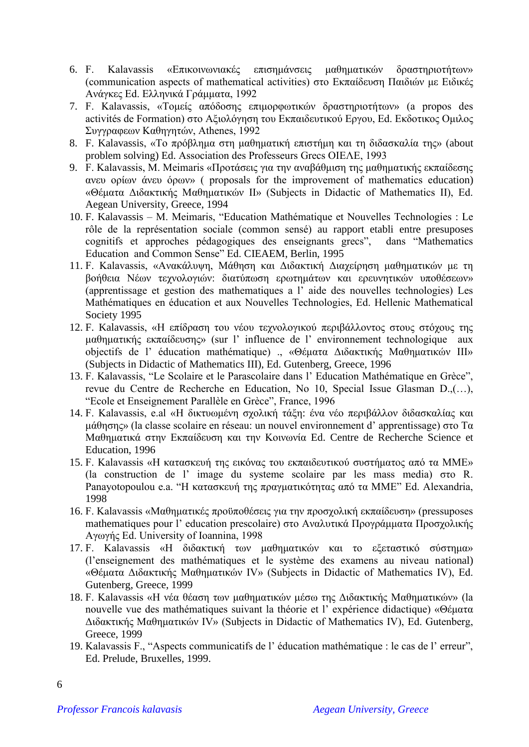- 6. F. Kalavassis «Επικοινωνιακές επισημάνσεις μαθηματικών δραστηριοτήτων» (communication aspects of mathematical activities) στο Εκπαίδευση Παιδιών με Ειδικές Ανάγκες Ed. Ελληνικά Γράμματα, 1992
- 7. F. Kalavassis, «Τομείς απόδοσης επιμορφωτικών δραστηριοτήτων» (a propos des activités de Formation) στο Αξιολόγηση του Εκπαιδευτικού Εργου, Ed. Εκδοτικος Ομιλος Συγγραφεων Καθηγητών, Athenes, 1992
- 8. F. Kalavassis, «Το πρόβλημα στη μαθηματική επιστήμη και τη διδασκαλία της» (about problem solving) Ed. Association des Professeurs Grecs ΟΙΕΛΕ, 1993
- 9. F. Kalavassis, M. Meimaris «Προτάσεις για την αναβάθμιση της μαθηματικής εκπαίδεσης ανευ ορίων άνευ όρων» ( proposals for the improvement of mathematics education) «Θέματα Διδακτικής Μαθηματικών II» (Subjects in Didactic of Mathematics II), Ed. Aegean University, Greece, 1994
- 10. F. Kalavassis M. Meimaris, "Education Mathématique et Nouvelles Technologies : Le rôle de la représentation sociale (common sensé) au rapport etabli entre presuposes cognitifs et approches pédagogiques des enseignants grecs", dans "Mathematics Education and Common Sense" Ed. CIEAEM, Berlin, 1995
- 11. F. Kalavassis, «Ανακάλυψη, Μάθηση και Διδακτική Διαχείρηση μαθηματικών με τη βοήθεια Νέων τεχνολογιών: διατύπωση ερωτημάτων και ερευνητικών υποθέσεων» (apprentissage et gestion des mathematiques a l' aide des nouvelles technologies) Les Mathématiques en éducation et aux Nouvelles Technologies, Ed. Hellenic Mathematical Society 1995
- 12. F. Kalavassis, «Η επίδραση του νέου τεχνολογικού περιβάλλοντος στους στόχους της μαθηματικής εκπαίδευσης» (sur l' influence de l' environnement technologique aux objectifs de l' éducation mathématique) ., «Θέματα Διδακτικής Μαθηματικών III» (Subjects in Didactic of Mathematics III), Ed. Gutenberg, Greece, 1996
- 13. F. Kalavassis, "Le Scolaire et le Parascolaire dans l' Education Mathématique en Grèce", revue du Centre de Recherche en Education, No 10, Special Issue Glasman D.,(…), "Ecole et Enseignement Parallèle en Grèce", France, 1996
- 14. F. Kalavassis, e.al «Η δικτυωμένη σχολική τάξη: ένα νέο περιβάλλον διδασκαλίας και μάθησης» (la classe scolaire en réseau: un nouvel environnement d' apprentissage) στο Τα Μαθηματικά στην Εκπαίδευση και την Κοινωνία Ed. Centre de Recherche Science et Education, 1996
- 15. F. Kalavassis «Η κατασκευή της εικόνας του εκπαιδευτικού συστήματος από τα ΜΜΕ» (la construction de l' image du systeme scolaire par les mass media) στο R. Panayotopoulou e.a. "Η κατασκευή της πραγματικότητας από τα ΜΜΕ" Ed. Alexandria, 1998
- 16. F. Kalavassis «Μαθηματικές προϋποθέσεις για την προσχολική εκπαίδευση» (pressuposes mathematiques pour l' education prescolaire) στο Αναλυτικά Προγράμματα Προσχολικής Αγωγής Ed. University of Ioannina, 1998
- 17. F. Kalavassis «Η διδακτική των μαθηματικών και το εξεταστικό σύστημα» (l'enseignement des mathématiques et le système des examens au niveau national) «Θέματα Διδακτικής Μαθηματικών IV» (Subjects in Didactic of Mathematics IV), Ed. Gutenberg, Greece, 1999
- 18. F. Kalavassis «Η νέα θέαση των μαθηματικών μέσω της Διδακτικής Μαθηματικών» (la nouvelle vue des mathématiques suivant la théorie et l' expérience didactique) «Θέματα Διδακτικής Μαθηματικών IV» (Subjects in Didactic of Mathematics IV), Ed. Gutenberg, Greece, 1999
- 19. Kalavassis F., "Aspects communicatifs de l' éducation mathématique : le cas de l' erreur", Ed. Prelude, Bruxelles, 1999.

6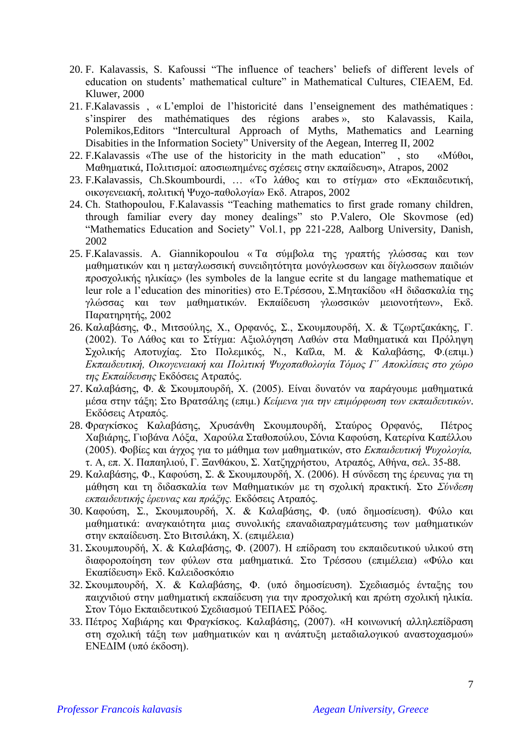- 20. F. Kalavassis, S. Kafoussi "The influence of teachers' beliefs of different levels of education on students' mathematical culture" in Mathematical Cultures, CIEAEM, Ed. Kluwer, 2000
- 21. F.Kalavassis , « L'emploi de l'historicité dans l'enseignement des mathématiques : s'inspirer des mathématiques des régions arabes », sto Kalavassis, Kaila, Polemikos,Editors "Intercultural Approach of Myths, Mathematics and Learning Disabities in the Information Society" University of the Aegean, Interreg II, 2002
- 22. F.Kalavassis «The use of the historicity in the math education" , sto «Μύθοι, Μαθηματικά, Πολιτισμοί: αποσιωπημένες σχέσεις στην εκπαίδευση», Atrapos, 2002
- 23. F.Kalavassis, Ch.Skoumbourdi, … «Το λάθος και το στίγμα» στο «Εκπαιδευτική, οικογενειακή, πολιτική Ψυχο-παθολογία» Εκδ. Atrapos, 2002
- 24. Ch. Stathopoulou, F.Kalavassis "Teaching mathematics to first grade romany children, through familiar every day money dealings" sto P.Valero, Ole Skovmose (ed) "Mathematics Education and Society" Vol.1, pp 221-228, Aalborg University, Danish, 2002
- 25. F.Kalavassis. A. Giannikopoulou « Τα σύμβολα της γραπτής γλώσσας και των μαθηματικών και η μεταγλωσσική συνειδητότητα μονόγλωσσων και δίγλωσσων παιδιών προσχολικής ηλικίας» (les symboles de la langue ecrite st du langage mathematique et leur role a l'education des minorities) στο Ε.Τρέσσου, Σ.Μητακίδου «Η διδασκαλία της γλώσσας και των μαθηματικών. Εκπαίδευση γλωσσικών μειονοτήτων», Εκδ. Παρατηρητής, 2002
- 26. Καλαβάσης, Φ., Μιτσούλης, Χ., Ορφανός, Σ., Σκουμπουρδή, Χ. & Τζωρτζακάκης, Γ. (2002). Το Λάθος και το Στίγμα: Αξιολόγηση Λαθών στα Μαθηματικά και Πρόληψη Σχολικής Αποτυχίας. Στο Πολεμικός, Ν., Καΐλα, Μ. & Καλαβάσης, Φ.(επιμ.) *Εκπαιδευτική, Οικογενειακή και Πολιτική Ψυχοπαθολογία Τόμος Γ΄ Αποκλίσεις στο χώρο της Εκπαίδευσης* Εκδόσεις Ατραπός.
- 27. Καλαβάσης, Φ. & Σκουμπουρδή, Χ. (2005). Είναι δυνατόν να παράγουμε μαθηματικά μέσα στην τάξη; Στο Βρατσάλης (επιμ.) *Κείμενα για την επιμόρφωση των εκπαιδευτικών*. Εκδόσεις Ατραπός.
- 28. Φραγκίσκος Καλαβάσης, Χρυσάνθη Σκουμπουρδή, Σταύρος Ορφανός, Πέτρος Χαβιάρης, Γιοβάνα Λόξα, Χαρούλα Σταθοπούλου, Σόνια Καφούση, Κατερίνα Καπέλλου (2005). Φοβίες και άγχος για το μάθημα των μαθηματικών, στο *Εκπαιδευτική Ψυχολογία,* τ. Α, επ. Χ. Παπαηλιού, Γ. Ξανθάκου, Σ. Χατζηχρήστου, Ατραπός, Αθήνα, σελ. 35-88.
- 29. Καλαβάσης, Φ., Καφούση, Σ. & Σκουμπουρδή, Χ. (2006). Η σύνδεση της έρευνας για τη μάθηση και τη διδασκαλία των Μαθηματικών με τη σχολική πρακτική. Στο *Σύνδεση εκπαιδευτικής έρευνας και πράξης.* Εκδόσεις Ατραπός.
- 30. Καφούση, Σ., Σκουμπουρδή, Χ. & Καλαβάσης, Φ. (υπό δημοσίευση). Φύλο και μαθηματικά: αναγκαιότητα μιας συνολικής επαναδιαπραγμάτευσης των μαθηματικών στην εκπαίδευση. Στο Βιτσιλάκη, Χ. (επιμέλεια)
- 31. Σκουμπουρδή, Χ. & Καλαβάσης, Φ. (2007). Η επίδραση του εκπαιδευτικού υλικού στη διαφοροποίηση των φύλων στα μαθηματικά. Στο Τρέσσου (επιμέλεια) «Φύλο και Εκαπίδευση» Εκδ. Καλειδοσκόπιο
- 32. Σκουμπουρδή, Χ. & Καλαβάσης, Φ. (υπό δημοσίευση). Σχεδιασμός ένταξης του παιχνιδιού στην μαθηματική εκπαίδευση για την προσχολική και πρώτη σχολική ηλικία. Στον Τόμο Εκπαιδευτικού Σχεδιασμού ΤΕΠΑΕΣ Ρόδος.
- 33. Πέτρος Χαβιάρης και Φραγκίσκος. Καλαβάσης, (2007). «Η κοινωνική αλληλεπίδραση στη σχολική τάξη των μαθηματικών και η ανάπτυξη μεταδιαλογικού αναστοχασμού» ΕΝΕΔΙΜ (υπό έκδοση).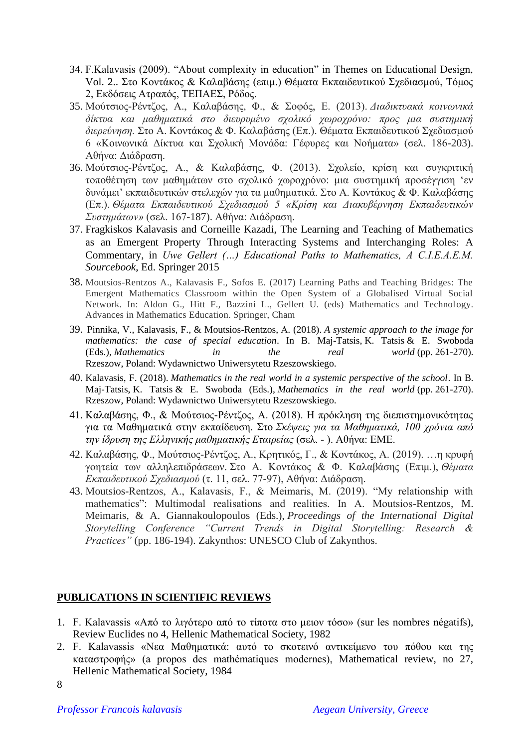- 34. F.Kalavasis (2009). "About complexity in education" in Themes on Educational Design, Vol. 2.. Στο Κοντάκος & Καλαβάσης (επιμ.) Θέματα Εκπαιδευτικού Σχεδιασμού, Τόμος 2, Εκδόσεις Ατραπός, ΤΕΠΑΕΣ, Ρόδος.
- 35. Μούτσιος-Ρέντζος, Α., Καλαβάσης, Φ., & Σοφός, Ε. (2013). *Διαδικτυακά κοινωνικά δίκτυα και μαθηματικά στο διευρυμένο σχολικό χωροχρόνο: προς μια συστημική διερεύνηση.* Στο Α. Κοντάκος & Φ. Καλαβάσης (Επ.). Θέματα Εκπαιδευτικού Σχεδιασμού 6 «Κοινωνικά Δίκτυα και Σχολική Μονάδα: Γέφυρες και Νοήματα» (σελ. 186-203). Αθήνα: Διάδραση.
- 36. Μούτσιος-Ρέντζος, Α., & Καλαβάσης, Φ. (2013). Σχολείο, κρίση και συγκριτική τοποθέτηση των μαθημάτων στο σχολικό χωροχρόνο: μια συστημική προσέγγιση 'εν δυνάμει' εκπαιδευτικών στελεχών για τα μαθηματικά. Στο Α. Κοντάκος & Φ. Καλαβάσης (Επ.). *Θέματα Εκπαιδευτικού Σχεδιασμού 5 «Κρίση και Διακυβέρνηση Εκπαιδευτικών Συστημάτων»* (σελ. 167-187). Αθήνα: Διάδραση.
- 37. Fragkiskos Kalavasis and Corneille Kazadi, The Learning and Teaching of Mathematics as an Emergent Property Through Interacting Systems and Interchanging Roles: A Commentary, in *Uwe Gellert (…) Educational Paths to Mathematics, A C.I.E.A.E.M. Sourcebook*, Ed. Springer 2015
- 38. Moutsios-Rentzos A., Kalavasis F., Sofos E. (2017) Learning Paths and Teaching Bridges: The Emergent Mathematics Classroom within the Open System of a Globalised Virtual Social Network. In: Aldon G., Hitt F., Bazzini L., Gellert U. (eds) Mathematics and Technology. Advances in Mathematics Education. Springer, Cham
- 39. Pinnika, V., Kalavasis, F., & Moutsios-Rentzos, Α. (2018). *A systemic approach to the image for mathematics: the case of special education*. In B. Maj-Tatsis, K. Tatsis & E. Swoboda (Eds.), *Mathematics in the real world* (pp. 261-270). Rzeszow, Poland: Wydawnictwo Uniwersytetu Rzeszowskiego.
- 40. Kalavasis, F. (2018). *Mathematics in the real world in a systemic perspective of the school*. In B. Maj-Tatsis, K. Tatsis & E. Swoboda (Eds.), *Mathematics in the real world* (pp. 261-270). Rzeszow, Poland: Wydawnictwo Uniwersytetu Rzeszowskiego.
- 41. Καλαβάσης, Φ., & Μούτσιος-Ρέντζος, Α. (2018). Η πρόκληση της διεπιστημονικότητας για τα Μαθηματικά στην εκπαίδευση. Στο *Σκέψεις για τα Μαθηματικά, 100 χρόνια από την ίδρυση της Ελληνικής μαθηματικής Εταιρείας* (σελ. - ). Αθήνα: ΕΜΕ.
- 42. Καλαβάσης, Φ., Μούτσιος-Ρέντζος, Α., Κρητικός, Γ., & Κοντάκος, Α. (2019). …η κρυφή γοητεία των αλληλεπιδράσεων. Στο Α. Κοντάκος & Φ. Καλαβάσης (Επιμ.), *Θέματα Εκπαιδευτικού Σχεδιασμού* (τ. 11, σελ. 77-97), Αθήνα: Διάδραση.
- 43. Moutsios-Rentzos, A., Kalavasis, F., & Meimaris, M. (2019). "My relationship with mathematics": Multimodal realisations and realities. In A. Moutsios-Rentzos, M. Meimaris, & A. Giannakoulopoulos (Eds.), *Proceedings of the International Digital Storytelling Conference "Current Trends in Digital Storytelling: Research & Practices"* (pp. 186-194). Zakynthos: UNESCO Club of Zakynthos.

### **PUBLICATIONS IN SCIENTIFIC REVIEWS**

- 1. F. Kalavassis «Από το λιγότερο από το τίποτα στο μειον τόσο» (sur les nombres négatifs), Review Euclides no 4, Hellenic Mathematical Society, 1982
- 2. F. Kalavassis «Νεα Μαθηματικά: αυτό το σκοτεινό αντικείμενο του πόθου και της καταστροφής» (a propos des mathématiques modernes), Mathematical review, no 27, Hellenic Mathematical Society, 1984

<sup>8</sup>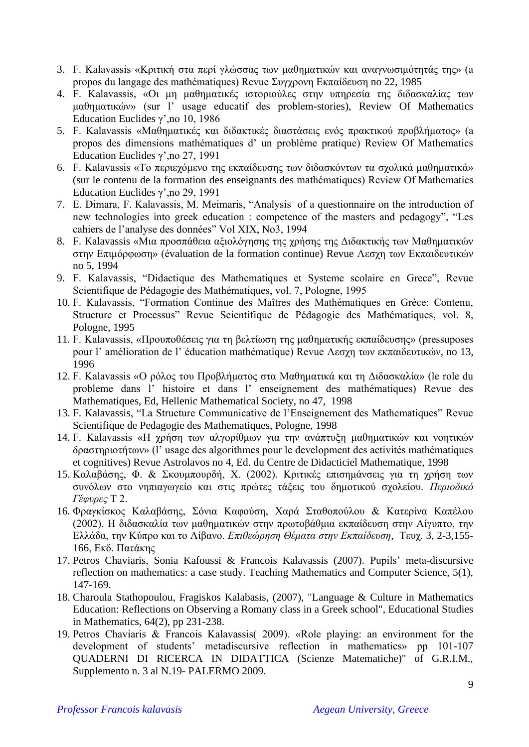- 3. F. Kalavassis «Κριτική στα περί γλώσσας των μαθηματικών και αναγνωσιμότητάς της» (a propos du langage des mathématiques) Revue Συγχρονη Εκπαίδευση no 22, 1985
- 4. F. Kalavassis, «Οι μη μαθηματικές ιστοριούλες στην υπηρεσία της διδασκαλίας των μαθηματικών» (sur l' usage educatif des problem-stories), Review Of Mathematics Education Euclides γ',no 10, 1986
- 5. F. Kalavassis «Μαθηματικές και διδακτικές διαστάσεις ενός πρακτικού προβλήματος» (a propos des dimensions mathématiques d' un problème pratique) Review Of Mathematics Education Euclides γ',no 27, 1991
- 6. F. Kalavassis «Το περιεχόμενο της εκπαίδευσης των διδασκόντων τα σχολικά μαθηματικά» (sur le contenu de la formation des enseignants des mathématiques) Review Of Mathematics Education Euclides γ',no 29, 1991
- 7. E. Dimara, F. Kalavassis, M. Meimaris, "Analysis of a questionnaire on the introduction of new technologies into greek education : competence of the masters and pedagogy", "Les cahiers de l'analyse des données" Vol XIX, No3, 1994
- 8. F. Kalavassis «Μια προσπάθεια αξιολόγησης της χρήσης της Διδακτικής των Μαθηματικών στην Επιμόρφωση» (évaluation de la formation continue) Revue Λεσχη των Εκπαιδευτικών no 5, 1994
- 9. F. Kalavassis, "Didactique des Mathematiques et Systeme scolaire en Grece", Revue Scientifique de Pédagogie des Mathématiques, vol. 7, Pologne, 1995
- 10. F. Kalavassis, "Formation Continue des Maîtres des Mathématiques en Grèce: Contenu, Structure et Processus" Revue Scientifique de Pédagogie des Mathématiques, vol. 8, Pologne, 1995
- 11. F. Kalavassis, «Προυποθέσεις για τη βελτίωση της μαθηματικής εκπαίδευσης» (pressuposes pour l' amélioration de l' éducation mathématique) Revue Λεσχη των εκπαιδευτικών, no 13, 1996
- 12. F. Kalavassis «Ο ρόλος του Προβλήματος στα Μαθηματικά και τη Διδασκαλία» (le role du probleme dans l' histoire et dans l' enseignement des mathématiques) Revue des Mathematiques, Ed, Hellenic Mathematical Society, no 47, 1998
- 13. F. Kalavassis, "La Structure Communicative de l'Enseignement des Mathematiques" Revue Scientifique de Pedagogie des Mathematiques, Pologne, 1998
- 14. F. Kalavassis «Η χρήση των αλγορίθμων για την ανάπτυξη μαθηματικών και νοητικών δραστηριοτήτων» (l' usage des algorithmes pour le development des activités mathématiques et cognitives) Revue Astrolavos no 4, Ed. du Centre de Didacticiel Mathematique, 1998
- 15. Καλαβάσης, Φ. & Σκουμπουρδή, Χ. (2002). Κριτικές επισημάνσεις για τη χρήση των συνόλων στο νηπιαγωγείο και στις πρώτες τάξεις του δημοτικού σχολείου. *Περιοδικό Γέφυρες* Τ 2.
- 16. Φραγκίσκος Καλαβάσης, Σόνια Καφούση, Χαρά Σταθοπούλου & Κατερίνα Καπέλου (2002). Η διδασκαλία των μαθηματικών στην πρωτοβάθμια εκπαίδευση στην Αίγυπτο, την Ελλάδα, την Κύπρο και το Λίβανο. *Επιθεώρηση Θέματα στην Εκπαίδευση*, Τευχ. 3, 2-3,155- 166, Εκδ. Πατάκης
- 17. Petros Chaviaris, Sonia Kafoussi & Francois Kalavassis (2007). Pupils' meta-discursive reflection on mathematics: a case study. Teaching Mathematics and Computer Science, 5(1), 147-169.
- 18. Charoula Stathopoulou, Fragiskos Kalabasis, (2007), "Language & Culture in Mathematics Education: Reflections on Observing a Romany class in a Greek school", Educational Studies in Mathematics, 64(2), pp 231-238.
- 19. Petros Chaviaris & Francois Kalavassis( 2009). «Role playing: an environment for the development of students' metadiscursive reflection in mathematics» pp 101-107 QUADERNI DI RICERCA IN DIDATTICA (Scienze Matematiche)" of G.R.I.M., Supplemento n. 3 al N.19- PALERMO 2009.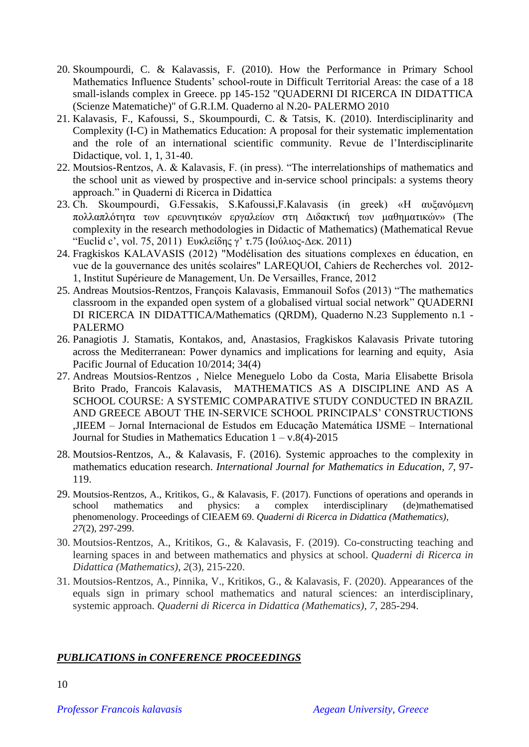- 20. Skoumpourdi, C. & Kalavassis, F. (2010). How the Performance in Primary School Mathematics Influence Students' school-route in Difficult Territorial Areas: the case of a 18 small-islands complex in Greece. pp 145-152 "QUADERNI DI RICERCA IN DIDATTICA (Scienze Matematiche)" of G.R.I.M. Quaderno al N.20- PALERMO 2010
- 21. Kalavasis, F., Kafoussi, S., Skoumpourdi, C. & Tatsis, K. (2010). Interdisciplinarity and Complexity (I-C) in Mathematics Education: A proposal for their systematic implementation and the role of an international scientific community. Revue de l'Interdisciplinarite Didactique, vol. 1, 1, 31-40.
- 22. Moutsios-Rentzos, A. & Kalavasis, F. (in press). "The interrelationships of mathematics and the school unit as viewed by prospective and in-service school principals: a systems theory approach." in Quaderni di Ricerca in Didattica
- 23. Ch. Skoumpourdi, G.Fessakis, S.Kafoussi,F.Kalavasis (in greek) «Η αυξανόμενη πολλαπλότητα των ερευνητικών εργαλείων στη Διδακτική των μαθηματικών» (The complexity in the research methodologies in Didactic of Mathematics) (Mathematical Revue "Euclid c', vol. 75, 2011) Ευκλείδης γ' τ.75 (Ιούλιος-Δεκ. 2011)
- 24. Fragkiskos KALAVASIS (2012) "Modélisation des situations complexes en éducation, en vue de la gouvernance des unités scolaires" LAREQUOI, Cahiers de Recherches vol. 2012- 1, Institut Supérieure de Management, Un. De Versailles, France, 2012
- 25. Andreas Moutsios-Rentzos, François Kalavasis, Emmanouil Sofos (2013) "The mathematics classroom in the expanded open system of a globalised virtual social network" QUADERNI DI RICERCA IN DIDATTICA/Mathematics (QRDM), Quaderno N.23 Supplemento n.1 - PALERMO
- 26. Panagiotis J. Stamatis, Kontakos, and, Anastasios, Fragkiskos Kalavasis Private tutoring across the Mediterranean: Power dynamics and implications for learning and equity, Asia Pacific Journal of Education 10/2014; 34(4)
- 27. Andreas Moutsios-Rentzos , Nielce Meneguelo Lobo da Costa, Maria Elisabette Brisola Brito Prado, Francois Kalavasis, MATHEMATICS AS A DISCIPLINE AND AS A SCHOOL COURSE: A SYSTEMIC COMPARATIVE STUDY CONDUCTED IN BRAZIL AND GREECE ABOUT THE IN-SERVICE SCHOOL PRINCIPALS' CONSTRUCTIONS ,JIEEM – Jornal Internacional de Estudos em Educação Matemática IJSME – International Journal for Studies in Mathematics Education  $1 - v.8(4) - 2015$
- 28. Moutsios-Rentzos, Α., & Kalavasis, F. (2016). Systemic approaches to the complexity in mathematics education research. *International Journal for Mathematics in Education*, *7*, 97- 119.
- 29. Moutsios-Rentzos, A., Kritikos, G., & Kalavasis, F. (2017). Functions of operations and operands in school mathematics and physics: a complex interdisciplinary (de)mathematised phenomenology. Proceedings of CIEAEM 69. *Quaderni di Ricerca in Didattica (Mathematics), 27*(2), 297-299.
- 30. Moutsios-Rentzos, A., Kritikos, G., & Kalavasis, F. (2019). Co-constructing teaching and learning spaces in and between mathematics and physics at school. *Quaderni di Ricerca in Didattica (Mathematics)*, *2*(3), 215-220.
- 31. Moutsios-Rentzos, A., Pinnika, V., Kritikos, G., & Kalavasis, F. (2020). Appearances of the equals sign in primary school mathematics and natural sciences: an interdisciplinary, systemic approach. *Quaderni di Ricerca in Didattica (Mathematics)*, *7*, 285-294.

# *PUBLICATIONS in CONFERENCE PROCEEDINGS*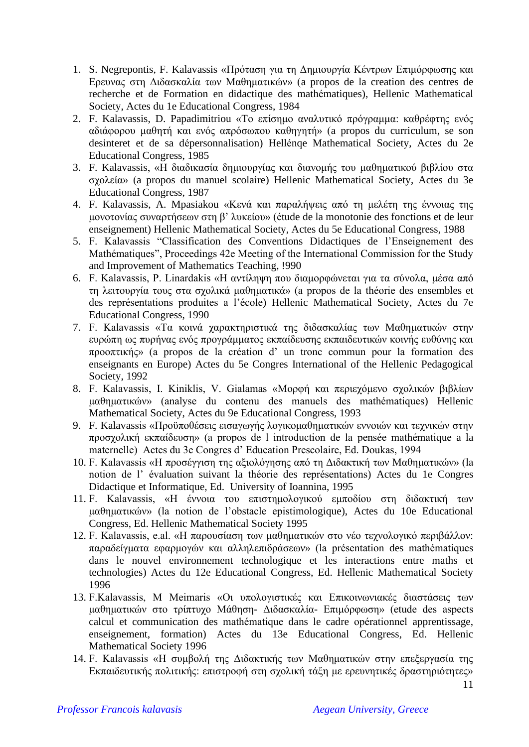- 1. S. Negrepontis, F. Kalavassis «Πρόταση για τη Δημιουργία Κέντρων Επιμόρφωσης και Ερευνας στη Διδασκαλία των Μαθηματικών» (a propos de la creation des centres de recherche et de Formation en didactique des mathématiques), Hellenic Mathematical Society, Actes du 1e Educational Congress, 1984
- 2. F. Kalavassis, D. Papadimitriou «Το επίσημο αναλυτικό πρόγραμμα: καθρέφτης ενός αδιάφορου μαθητή και ενός απρόσωπου καθηγητή» (a propos du curriculum, se son desinteret et de sa dépersonnalisation) Hellénqe Mathematical Society, Actes du 2e Educational Congress, 1985
- 3. F. Kalavassis, «Η διαδικασία δημιουργίας και διανομής του μαθηματικού βιβλίου στα σχολεία» (a propos du manuel scolaire) Hellenic Mathematical Society, Actes du 3e Educational Congress, 1987
- 4. F. Kalavassis, A. Mpasiakou «Κενά και παραλήψεις από τη μελέτη της έννοιας της μονοτονίας συναρτήσεων στη β' λυκείου» (étude de la monotonie des fonctions et de leur enseignement) Hellenic Mathematical Society, Actes du 5e Educational Congress, 1988
- 5. F. Kalavassis "Classification des Conventions Didactiques de l'Enseignement des Mathématiques", Proceedings 42e Meeting of the International Commission for the Study and Improvement of Mathematics Teaching, !990
- 6. F. Kalavassis, P. Linardakis «Η αντίληψη που διαμορφώνεται για τα σύνολα, μέσα από τη λειτουργία τους στα σχολικά μαθηματικά» (a propos de la théorie des ensembles et des représentations produites a l'école) Hellenic Mathematical Society, Actes du 7e Educational Congress, 1990
- 7. F. Kalavassis «Τα κοινά χαρακτηριστικά της διδασκαλίας των Μαθηματικών στην ευρώπη ως πυρήνας ενός προγράμματος εκπαίδευσης εκπαιδευτικών κοινής ευθύνης και προοπτικής» (a propos de la création d' un tronc commun pour la formation des enseignants en Europe) Actes du 5e Congres International of the Hellenic Pedagogical Society, 1992
- 8. F. Kalavassis, I. Kiniklis, V. Gialamas «Μορφή και περιεχόμενο σχολικών βιβλίων μαθηματικών» (analyse du contenu des manuels des mathématiques) Hellenic Mathematical Society, Actes du 9e Educational Congress, 1993
- 9. F. Kalavassis «Προϋποθέσεις εισαγωγής λογικομαθηματικών εννοιών και τεχνικών στην προσχολική εκπαίδευση» (a propos de l introduction de la pensée mathématique a la maternelle) Actes du 3e Congres d' Education Prescolaire, Ed. Doukas, 1994
- 10. F. Kalavassis «Η προσέγγιση της αξιολόγησης από τη Διδακτική των Μαθηματικών» (la notion de l' évaluation suivant la théorie des représentations) Actes du 1e Congres Didactique et Informatique, Ed. University of Ioannina, 1995
- 11. F. Kalavassis, «Η έννοια του επιστημολογικού εμποδίου στη διδακτική των μαθηματικών» (la notion de l'obstacle epistimologique), Actes du 10e Educational Congress, Ed. Hellenic Mathematical Society 1995
- 12. F. Kalavassis, e.al. «Η παρουσίαση των μαθηματικών στο νέο τεχνολογικό περιβάλλον: παραδείγματα εφαρμογών και αλληλεπιδράσεων» (la présentation des mathématiques dans le nouvel environnement technologique et les interactions entre maths et technologies) Actes du 12e Educational Congress, Ed. Hellenic Mathematical Society 1996
- 13. F.Kalavassis, M Meimaris «Οι υπολογιστικές και Επικοινωνιακές διαστάσεις των μαθηματικών στο τρίπτυχο Μάθηση- Διδασκαλία- Επιμόρφωση» (etude des aspects calcul et communication des mathématique dans le cadre opérationnel apprentissage, enseignement, formation) Actes du 13e Educational Congress, Ed. Hellenic Mathematical Society 1996
- 14. F. Kalavassis «Η συμβολή της Διδακτικής των Μαθηματικών στην επεξεργασία της Εκπαιδευτικής πολιτικής: επιστροφή στη σχολική τάξη με ερευνητικές δραστηριότητες»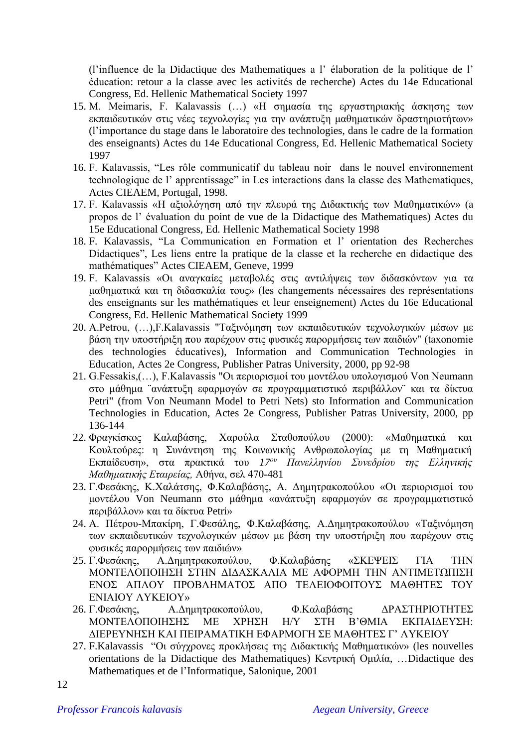(l'influence de la Didactique des Mathematiques a l' élaboration de la politique de l' éducation: retour a la classe avec les activités de recherche) Actes du 14e Educational Congress, Ed. Hellenic Mathematical Society 1997

- 15. M. Meimaris, F. Kalavassis (…) «Η σημασία της εργαστηριακής άσκησης των εκπαιδευτικών στις νέες τεχνολογίες για την ανάπτυξη μαθηματικών δραστηριοτήτων» (l'importance du stage dans le laboratoire des technologies, dans le cadre de la formation des enseignants) Actes du 14e Educational Congress, Ed. Hellenic Mathematical Society 1997
- 16. F. Kalavassis, "Les rôle communicatif du tableau noir dans le nouvel environnement technologique de l' apprentissage" in Les interactions dans la classe des Mathematiques, Actes CIEAEM, Portugal, 1998.
- 17. F. Kalavassis «Η αξιολόγηση από την πλευρά της Διδακτικής των Μαθηματικών» (a propos de l' évaluation du point de vue de la Didactique des Mathematiques) Actes du 15e Educational Congress, Ed. Hellenic Mathematical Society 1998
- 18. F. Kalavassis, "La Communication en Formation et l' orientation des Recherches Didactiques", Les liens entre la pratique de la classe et la recherche en didactique des mathématiques" Actes CIEAEM, Geneve, 1999
- 19. F. Kalavassis «Οι αναγκαίες μεταβολές στις αντιλήψεις των διδασκόντων για τα μαθηματικά και τη διδασκαλία τους» (les changements nécessaires des représentations des enseignants sur les mathématiques et leur enseignement) Actes du 16e Educational Congress, Ed. Hellenic Mathematical Society 1999
- 20. A.Petrou, (…),F.Kalavassis "Ταξινόμηση των εκπαιδευτικών τεχνολογικών μέσων με βάση την υποστήριξη που παρέχουν στις φυσικές παρορμήσεις των παιδιών" (taxonomie des technologies éducatives), Information and Communication Technologies in Education, Actes 2e Congress, Publisher Patras University, 2000, pp 92-98
- 21. G.Fessakis,(…), F.Kalavassis "Οι περιορισμοί του μοντέλου υπολογισμού Von Neumann στο μάθημα ¨ανάπτυξη εφαρμογών σε προγραμματιστικό περιβάλλον¨ και τα δίκτυα Petri" (from Von Neumann Model to Petri Nets) sto Information and Communication Technologies in Education, Actes 2e Congress, Publisher Patras University, 2000, pp 136-144
- 22. Φραγκίσκος Καλαβάσης, Χαρούλα Σταθοπούλου (2000): «Μαθηματικά και Κουλτούρες: η Συνάντηση της Κοινωνικής Ανθρωπολογίας με τη Μαθηματική Εκπαίδευση», στα πρακτικά του *17ου Πανελληνίου Συνεδρίου της Ελληνικής Μαθηματικής Εταιρείας,* Αθήνα, σελ 470-481
- 23. Γ.Φεσάκης, Κ.Χαλάτσης, Φ.Καλαβάσης, Α. Δημητρακοπούλου «Οι περιορισμοί του μοντέλου Von Neumann στο μάθημα «ανάπτυξη εφαρμογών σε προγραμματιστικό περιβάλλον» και τα δίκτυα Petri»
- 24. Α. Πέτρου-Μπακίρη, Γ.Φεσάλης, Φ.Καλαβάσης, Α.Δημητρακοπούλου «Ταξινόμηση των εκπαιδευτικών τεχνολογικών μέσων με βάση την υποστήριξη που παρέχουν στις φυσικές παρορμήσεις των παιδιών»
- 25. Γ.Φεσάκης, Α.Δημητρακοπούλου, Φ.Καλαβάσης «ΣΚΕΨΕΙΣ ΓΙΑ ΤΗΝ ΜΟΝΤΕΛΟΠΟΙΗΣΗ ΣΤΗΝ ΔΙΔΑΣΚΑΛΙΑ ΜΕ ΑΦΟΡΜΗ ΤΗΝ ΑΝΤΙΜΕΤΩΠΙΣΗ ΕΝΟΣ ΑΠΛΟΥ ΠΡΟΒΛΗΜΑΤΟΣ ΑΠΟ ΤΕΛΕΙΟΦΟΙΤΟΥΣ ΜΑΘΗΤΕΣ ΤΟΥ ΕΝΙΑΙΟΥ ΛΥΚΕΙΟΥ»
- 26. Γ.Φεσάκης, Α.Δημητρακοπούλου, Φ.Καλαβάσης ΔΡΑΣΤΗΡΙΟΤΗΤΕΣ ΜΟΝΤΕΛΟΠΟΙΗΣΗΣ ΜΕ ΧΡΗΣΗ Η/Υ ΣΤΗ Β'ΘΜΙΑ ΕΚΠΑΙΔΕΥΣΗ: ΔΙΕΡΕΥΝΗΣΗ ΚΑΙ ΠΕΙΡΑΜΑΤΙΚΗ ΕΦΑΡΜΟΓΗ ΣΕ ΜΑΘΗΤΕΣ Γ' ΛΥΚΕΙΟΥ
- 27. F.Kalavassis "Οι σύγχρονες προκλήσεις της Διδακτικής Μαθηματικών» (les nouvelles orientations de la Didactique des Mathematiques) Κεντρική Ομιλία, …Didactique des Mathematiques et de l'Informatique, Salonique, 2001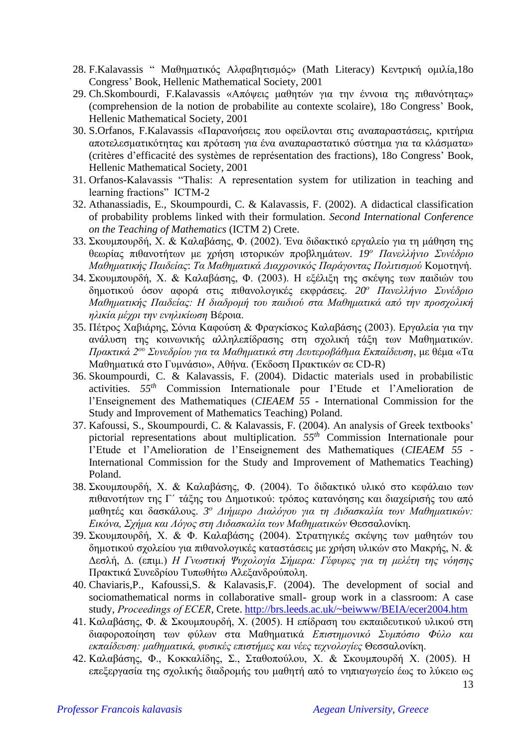- 28. F.Kalavassis " Μαθηματικός Αλφαβητισμός» (Math Literacy) Κεντρική ομιλίa,18o Congress' Book, Hellenic Mathematical Society, 2001
- 29. Ch.Skombourdi, F.Kalavassis «Απόψεις μαθητών για την έννοια της πιθανότητας» (comprehension de la notion de probabilite au contexte scolaire), 18o Congress' Book, Hellenic Mathematical Society, 2001
- 30. S.Orfanos, F.Kalavassis «Παρανοήσεις που οφείλονται στις αναπαραστάσεις, κριτήρια αποτελεσματικότητας και πρόταση για ένα αναπαραστατικό σύστημα για τα κλάσματα» (critères d'efficacité des systèmes de représentation des fractions), 18o Congress' Book, Hellenic Mathematical Society, 2001
- 31. Orfanos-Kalavassis "Thalis: A representation system for utilization in teaching and learning fractions" ICTM-2
- 32. Athanassiadis, E., Skoumpourdi, C. & Kalavassis, F. (2002). A didactical classification of probability problems linked with their formulation. *Second International Conference on the Teaching of Mathematics* (ICTM 2) Crete.
- 33. Σκουμπουρδή, Χ. & Καλαβάσης, Φ. (2002). Ένα διδακτικό εργαλείο για τη μάθηση της θεωρίας πιθανοτήτων με χρήση ιστορικών προβλημάτων. *19<sup>ο</sup> Πανελλήνιο Συνέδριο Μαθηματικής Παιδείας*: *Τα Μαθηματικά Διαχρονικός Παράγοντας Πολιτισμού* Κομοτηνή.
- 34. Σκουμπουρδή, Χ. & Καλαβάσης, Φ. (2003). Η εξέλιξη της σκέψης των παιδιών του δημοτικού όσον αφορά στις πιθανολογικές εκφράσεις. *20<sup>ο</sup> Πανελλήνιο Συνέδριο Μαθηματικής Παιδείας: Η διαδρομή του παιδιού στα Μαθηματικά από την προσχολική ηλικία μέχρι την ενηλικίωση* Βέροια.
- 35. Πέτρος Χαβιάρης, Σόνια Καφούση & Φραγκίσκος Καλαβάσης (2003). Εργαλεία για την ανάλυση της κοινωνικής αλληλεπίδρασης στη σχολική τάξη των Μαθηματικών. *Πρακτικά 2ου Συνεδρίου για τα Μαθηματικά στη Δευτεροβάθμια Εκπαίδευση*, με θέμα «Τα Μαθηματικά στο Γυμνάσιο», Αθήνα. (Έκδοση Πρακτικών σε CD-R)
- 36. Skoumpourdi, C. & Kalavassis, F. (2004). Didactic materials used in probabilistic activities. *55th* Commission Internationale pour I'Etude et l'Amelioration de l'Enseignement des Mathematiques (*CIEAEM 55 -* International Commission for the Study and Improvement of Mathematics Teaching) Poland.
- 37. Kafoussi, S., Skoumpourdi, C. & Kalavassis, F. (2004). An analysis of Greek textbooks' pictorial representations about multiplication. *55th* Commission Internationale pour I'Etude et l'Amelioration de l'Enseignement des Mathematiques (*CIEAEM 55 -* International Commission for the Study and Improvement of Mathematics Teaching) Poland.
- 38. Σκουμπουρδή, Χ. & Καλαβάσης, Φ. (2004). Το διδακτικό υλικό στο κεφάλαιο των πιθανοτήτων της Γ΄ τάξης του Δημοτικού: τρόπος κατανόησης και διαχείρισής του από μαθητές και δασκάλους. *3 <sup>ο</sup> Διήμερο Διαλόγου για τη Διδασκαλία των Μαθηματικών: Εικόνα, Σχήμα και Λόγος στη Διδασκαλία των Μαθηματικών* Θεσσαλονίκη*.*
- 39. Σκουμπουρδή, Χ. & Φ. Καλαβάσης (2004). Στρατηγικές σκέψης των μαθητών του δημοτικού σχολείου για πιθανολογικές καταστάσεις με χρήση υλικών στο Μακρής, Ν. & Δεσλή, Δ. (επιμ.) *Η Γνωστική Ψυχολογία Σήμερα: Γέφυρες για τη μελέτη της νόησης* Πρακτικά Συνεδρίου Τυπωθήτω Αλεξανδρούπολη.
- 40. Chaviaris,P., Kafoussi,S. & Kalavasis,F. (2004). The development of social and sociomathematical norms in collaborative small- group work in a classroom: A case study, *Proceedings of ΕCER,* Crete.<http://brs.leeds.ac.uk/~beiwww/BEIA/ecer2004.htm>
- 41. Καλαβάσης, Φ. & Σκουμπουρδή, Χ. (2005). Η επίδραση του εκπαιδευτικού υλικού στη διαφοροποίηση των φύλων στα Μαθηματικά *Επιστημονικό Συμπόσιο Φύλο και εκπαίδευση: μαθηματικά, φυσικές επιστήμες και νέες τεχνολογίες* Θεσσαλονίκη.
- 42. Καλαβάσης, Φ., Κοκκαλίδης, Σ., Σταθοπούλου, Χ. & Σκουμπουρδή Χ. (2005). Η επεξεργασία της σχολικής διαδρομής του μαθητή από το νηπιαγωγείο έως το λύκειο ως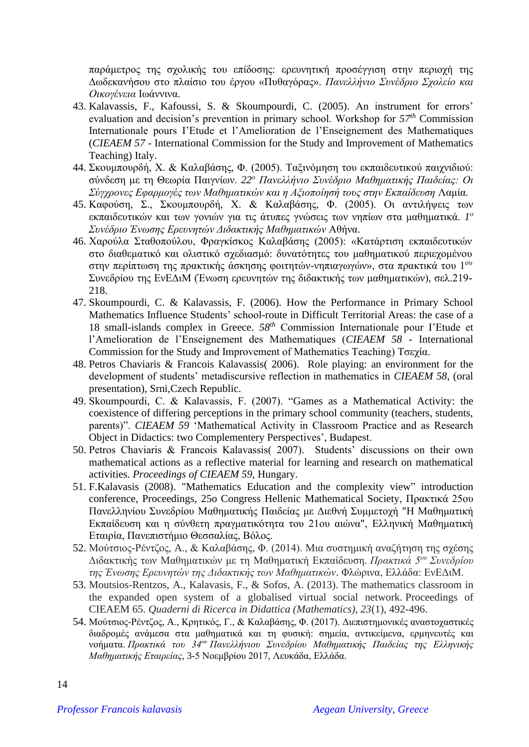παράμετρος της σχολικής του επίδοσης: ερευνητική προσέγγιση στην περιοχή της Δωδεκανήσου στο πλαίσιο του έργου «Πυθαγόρας». *Πανελλήνιο Συνέδριο Σχολείο και Οικογένεια* Ιωάννινα.

- 43. Kalavassis, F., Kafoussi, S. & Skoumpourdi, C. (2005). An instrument for errors' evaluation and decision's prevention in primary school. Workshop for *57th* Commission Internationale pours I'Etude et l'Amelioration de l'Enseignement des Mathematiques (*CIEAEM 57 -* International Commission for the Study and Improvement of Mathematics Teaching) Italy.
- 44. Σκουμπουρδή, Χ. & Καλαβάσης, Φ. (2005). Ταξινόμηση του εκπαιδευτικού παιχνιδιού: σύνδεση με τη Θεωρία Παιγνίων. *22<sup>ο</sup> Πανελλήνιο Συνέδριο Μαθηματικής Παιδείας: Οι Σύγχρονες Εφαρμογές των Μαθηματικών και η Αξιοποίησή τους στην Εκπαίδευση* Λαμία.
- 45. Καφούση, Σ., Σκουμπουρδή, Χ. & Καλαβάσης, Φ. (2005). Οι αντιλήψεις των εκπαιδευτικών και των γονιών για τις άτυπες γνώσεις των νηπίων στα μαθηματικά. *1 ο Συνέδριο Ένωσης Ερευνητών Διδακτικής Μαθηματικών* Αθήνα.
- 46. Χαρούλα Σταθοπούλου, Φραγκίσκος Καλαβάσης (2005): «Κατάρτιση εκπαιδευτικών στο διαθεματικό και ολιστικό σχεδιασμό: δυνατότητες του μαθηματικού περιεχομένου στην περίπτωση της πρακτικής άσκησης φοιτητών-νηπιαγωγών», στα πρακτικά του 1ου Συνεδρίου της ΕνΕΔιΜ (Ένωση ερευνητών της διδακτικής των μαθηματικών), σελ.219- 218.
- 47. Skoumpourdi, C. & Kalavassis, F. (2006). How the Performance in Primary School Mathematics Influence Students' school-route in Difficult Territorial Areas: the case of a 18 small-islands complex in Greece. *58th* Commission Internationale pour I'Etude et l'Amelioration de l'Enseignement des Mathematiques (*CIEAEM 58 -* International Commission for the Study and Improvement of Mathematics Teaching) Τσεχία.
- 48. Petros Chaviaris & Francois Kalavassis( 2006). Role playing: an environment for the development of students' metadiscursive reflection in mathematics in *CIEAEM 58*, (oral presentation), Srni,Czech Republic.
- 49. Skoumpourdi, C. & Kalavassis, F. (2007). "Games as a Mathematical Activity: the coexistence of differing perceptions in the primary school community (teachers, students, parents)". *CIEAEM 59* 'Mathematical Activity in Classroom Practice and as Research Object in Didactics: two Complementery Perspectives', Budapest.
- 50. Petros Chaviaris & Francois Kalavassis( 2007). Students' discussions on their own mathematical actions as a reflective material for learning and research on mathematical activities. *Proceedings of CIEAEM 59*, Hungary.
- 51. F.Kalavasis (2008). "Mathematics Education and the complexity view" introduction conference, Proceedings, 25o Congress Hellenic Mathematical Society, Πρακτικά 25ου Πανελληνίου Συνεδρίου Μαθηματικής Παιδείας με Διεθνή Συμμετοχή "Η Μαθηματική Εκπαίδευση και η σύνθετη πραγματικότητα του 21ου αιώνα", Ελληνική Μαθηματική Εταιρία, Πανεπιστήμιο Θεσσαλίας, Βόλος.
- 52. Μούτσιος-Ρέντζος, A., & Καλαβάσης, Φ. (2014). Μια συστημική αναζήτηση της σχέσης Διδακτικής των Μαθηματικών με τη Μαθηματική Εκπαίδευση*. Πρακτικά 5ου Συνεδρίου της Ένωσης Ερευνητών της Διδακτικής των Μαθηματικών*. Φλώρινα, Ελλάδα: ΕνΕΔιΜ.
- 53. Moutsios-Rentzos, A., Kalavasis, F., & Sofos, A. (2013). The mathematics classroom in the expanded open system of a globalised virtual social network*.* Proceedings of CIEAEM 65. *Quaderni di Ricerca in Didattica (Mathematics), 23*(1), 492-496.
- 54. Μούτσιος-Ρέντζος, A., Κρητικός, Γ., & Καλαβάσης, Φ. (2017). Διεπιστημονικές αναστοχαστικές διαδρομές ανάμεσα στα μαθηματικά και τη φυσική: σημεία, αντικείμενα, ερμηνευτές και νοήματα. *Πρακτικά του 34ου Πανελλήνιου Συνεδρίου Μαθηματικής Παιδείας της Ελληνικής Μαθηματικής Εταιρείας*, 3-5 Νοεμβρίου 2017, Λευκάδα, Ελλάδα.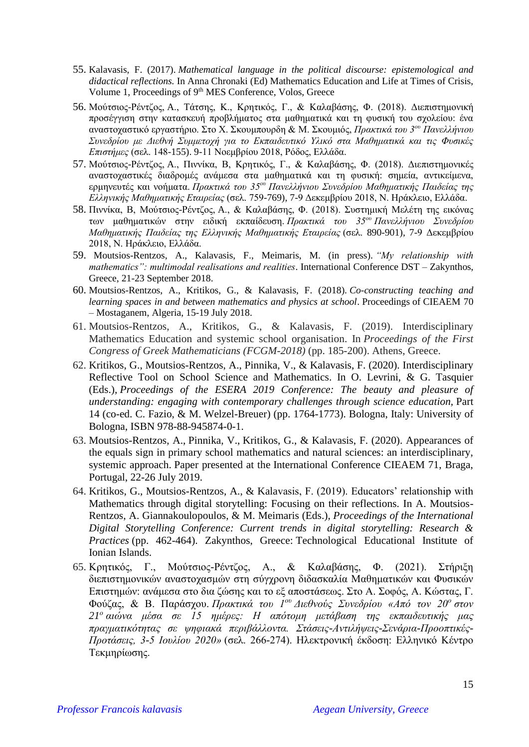- 55. Kalavasis, F. (2017). *Mathematical language in the political discourse: epistemological and didactical reflections.* In Anna Chronaki (Ed) Mathematics Education and Life at Times of Crisis, Volume 1, Proceedings of 9<sup>th</sup> MES Conference, Volos, Greece
- 56. Μούτσιος-Ρέντζος, A., Τάτσης, Κ., Κρητικός, Γ., & Καλαβάσης, Φ. (2018). Διεπιστημονική προσέγγιση στην κατασκευή προβλήματος στα μαθηματικά και τη φυσική του σχολείου: ένα αναστοχαστικό εργαστήριο. Στο Χ. Σκουμπουρδη & Μ. Σκουμιός, *Πρακτικά του 3ου Πανελλήνιου Συνεδρίου με Διεθνή Συμμετοχή για το Εκπαιδευτικό Υλικό στα Μαθηματικά και τις Φυσικές Επιστήμες* (σελ. 148-155). 9-11 Νοεμβρίου 2018, Ρόδος, Ελλάδα.
- 57. Μούτσιος-Ρέντζος, A., Πιννίκα, Β, Κρητικός, Γ., & Καλαβάσης, Φ. (2018). Διεπιστημονικές αναστοχαστικές διαδρομές ανάμεσα στα μαθηματικά και τη φυσική: σημεία, αντικείμενα, ερμηνευτές και νοήματα. *Πρακτικά του 35ου Πανελλήνιου Συνεδρίου Μαθηματικής Παιδείας της Ελληνικής Μαθηματικής Εταιρείας* (σελ. 759-769), 7-9 Δεκεμβρίου 2018, Ν. Ηράκλειο, Ελλάδα.
- 58. Πιννίκα, Β, Μούτσιος-Ρέντζος, A., & Καλαβάσης, Φ. (2018). Συστημική Μελέτη της εικόνας των μαθηματικών στην ειδική εκπαίδευση. *Πρακτικά του 35ου Πανελλήνιου Συνεδρίου Μαθηματικής Παιδείας της Ελληνικής Μαθηματικής Εταιρείας* (σελ. 890-901), 7-9 Δεκεμβρίου 2018, Ν. Ηράκλειο, Ελλάδα.
- 59. Moutsios-Rentzos, A., Kalavasis, F., Meimaris, M. (in press). *"My relationship with mathematics": multimodal realisations and realities*. International Conference DST – Zakynthos, Greece, 21-23 September 2018.
- 60. Moutsios-Rentzos, A., Kritikos, G., & Kalavasis, F. (2018). *Co-constructing teaching and learning spaces in and between mathematics and physics at school*. Proceedings of CIEAEM 70 – Mostaganem, Algeria, 15-19 July 2018.
- 61. Moutsios-Rentzos, A., Kritikos, G., & Kalavasis, F. (2019). Interdisciplinary Mathematics Education and systemic school organisation. In *Proceedings of the First Congress of Greek Mathematicians (FCGM-2018)* (pp. 185-200). Athens, Greece.
- 62. Kritikos, G., Moutsios-Rentzos, A., Pinnika, V., & Kalavasis, F. (2020). Interdisciplinary Reflective Tool on School Science and Mathematics. In O. Levrini, & G. Tasquier (Eds.), *Proceedings of the ESERA 2019 Conference: The beauty and pleasure of understanding: engaging with contemporary challenges through science education,* Part 14 (co-ed. C. Fazio, & M. Welzel-Breuer) (pp. 1764-1773). Bologna, Italy: University of Bologna, ISBN 978-88-945874-0-1.
- 63. Moutsios-Rentzos, A., Pinnika, V., Kritikos, G., & Kalavasis, F. (2020). Appearances of the equals sign in primary school mathematics and natural sciences: an interdisciplinary, systemic approach. Paper presented at the International Conference CIEAEM 71, Braga, Portugal, 22-26 July 2019.
- 64. Kritikos, G., Moutsios-Rentzos, A., & Kalavasis, F. (2019). Educators' relationship with Mathematics through digital storytelling: Focusing on their reflections. In A. Moutsios-Rentzos, A. Giannakoulopoulos, & M. Meimaris (Eds.), *Proceedings of the International Digital Storytelling Conference: Current trends in digital storytelling: Research & Practices* (pp. 462-464). Zakynthos, Greece: Technological Educational Institute of Ionian Islands.
- 65. Κρητικός, Γ., Μούτσιος-Ρέντζος, Α., & Καλαβάσης, Φ. (2021). Στήριξη διεπιστημονικών αναστοχασμών στη σύγχρονη διδασκαλία Μαθηματικών και Φυσικών Επιστημών: ανάμεσα στο δια ζώσης και το εξ αποστάσεως. Στο Α. Σοφός, Α. Κώστας, Γ. Φούζας, & Β. Παράσχου. *Πρακτικά του 1ου Διεθνούς Συνεδρίου «Από τον 20<sup>ο</sup> στον 21<sup>ο</sup> αιώνα μέσα σε 15 ημέρες: Η απότομη μετάβαση της εκπαιδευτικής μας πραγματικότητας σε ψηφιακά περιβάλλοντα. Στάσεις-Αντιλήψεις-Σενάρια-Προοπτικές-Προτάσεις, 3-5 Ιουλίου 2020»* (σελ. 266-274). Ηλεκτρονική έκδοση: Ελληνικό Κέντρο Τεκμηρίωσης.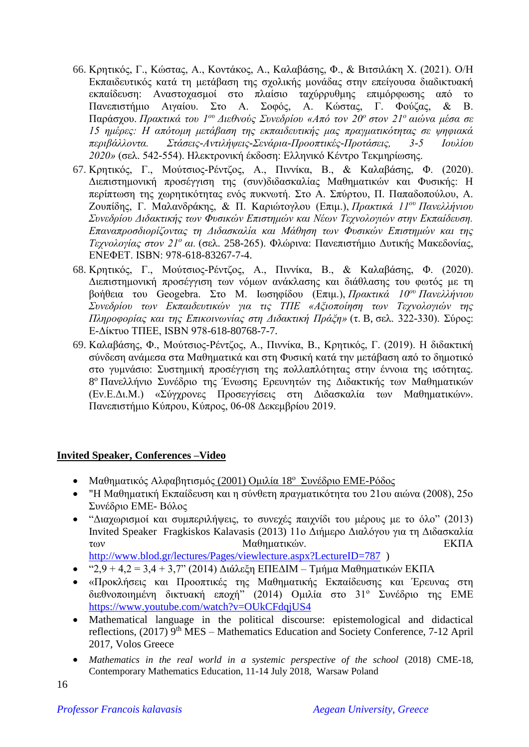- 66. Κρητικός, Γ., Κώστας, Α., Κοντάκος, Α., Καλαβάσης, Φ., & Βιτσιλάκη Χ. (2021). Ο/Η Εκπαιδευτικός κατά τη μετάβαση της σχολικής μονάδας στην επείγουσα διαδικτυακή εκπαίδευση: Αναστοχασμοί στο πλαίσιο ταχύρρυθμης επιμόρφωσης από το Πανεπιστήμιο Αιγαίου. Στο Α. Σοφός, Α. Κώστας, Γ. Φούζας, & Β. Παράσχου. *Πρακτικά του 1ου Διεθνούς Συνεδρίου «Από τον 20<sup>ο</sup> στον 21<sup>ο</sup> αιώνα μέσα σε 15 ημέρες: Η απότομη μετάβαση της εκπαιδευτικής μας πραγματικότητας σε ψηφιακά περιβάλλοντα. Στάσεις-Αντιλήψεις-Σενάρια-Προοπτικές-Προτάσεις, 3-5 Ιουλίου 2020»* (σελ. 542-554). Ηλεκτρονική έκδοση: Ελληνικό Κέντρο Τεκμηρίωσης.
- 67. Κρητικός, Γ., Μούτσιος-Ρέντζος, Α., Πιννίκα, Β., & Καλαβάσης, Φ. (2020). Διεπιστημονική προσέγγιση της (συν)διδασκαλίας Μαθηματικών και Φυσικής: Η περίπτωση της χωρητικότητας ενός πυκνωτή. Στο Α. Σπύρτου, Π. Παπαδοπούλου, Α. Ζουπίδης, Γ. Μαλανδράκης, & Π. Καριώτογλου (Επιμ.), *Πρακτικά 11ου Πανελλήνιου Συνεδρίου Διδακτικής των Φυσικών Επιστημών και Νέων Τεχνολογιών στην Εκπαίδευση. Επαναπροσδιορίζοντας τη Διδασκαλία και Μάθηση των Φυσικών Επιστημών και της Τεχνολογίας στον 21<sup>ο</sup> αι.* (σελ. 258-265). Φλώρινα: Πανεπιστήμιο Δυτικής Μακεδονίας, ΕΝΕΦΕΤ. ISBN: 978-618-83267-7-4.
- 68. Κρητικός, Γ., Μούτσιος-Ρέντζος, Α., Πιννίκα, Β., & Καλαβάσης, Φ. (2020). Διεπιστημονική προσέγγιση των νόμων ανάκλασης και διάθλασης του φωτός με τη βοήθεια του Geogebra. Στο Μ. Ιωσηφίδου (Επιμ.), *Πρακτικά 10ου Πανελλήνιου Συνεδρίου των Εκπαιδευτικών για τις ΤΠΕ «Αξιοποίηση των Τεχνολογιών της Πληροφορίας και της Επικοινωνίας στη Διδακτική Πράξη»* (τ. B, σελ. 322-330). Σύρος: Ε-Δίκτυο ΤΠΕΕ, ISBN 978-618-80768-7-7.
- 69. Καλαβάσης, Φ., Μούτσιος-Ρέντζος, Α., Πιννίκα, Β., Κρητικός, Γ. (2019). Η διδακτική σύνδεση ανάμεσα στα Μαθηματικά και στη Φυσική κατά την μετάβαση από το δημοτικό στο γυμνάσιο: Συστημική προσέγγιση της πολλαπλότητας στην έννοια της ισότητας. 8 <sup>ο</sup> Πανελλήνιο Συνέδριο της Ένωσης Ερευνητών της Διδακτικής των Μαθηματικών (Εν.Ε.Δι.Μ.) «Σύγχρονες Προσεγγίσεις στη Διδασκαλία των Μαθηματικών». Πανεπιστήμιο Κύπρου, Κύπρος, 06-08 Δεκεμβρίου 2019.

# **Invited Speaker, Conferences –Video**

- Μαθηματικός Αλφαβητισμός (2001) Ομιλία 18<sup>°</sup> Συνέδριο ΕΜΕ-Ρόδος
- "Η Μαθηματική Εκπαίδευση και η σύνθετη πραγματικότητα του 21ου αιώνα (2008), 25ο Συνέδριο ΕΜΕ- Βόλος
- "Διαχωρισμοί και συμπεριλήψεις, το συνεχές παιχνίδι του μέρους με το όλο" (2013) Invited Speaker Fragkiskos Kalavasis (2013) 11ο Διήμερο Διαλόγου για τη Διδασκαλία των Μαθηματικών. ΕΚΠΑ

<http://www.blod.gr/lectures/Pages/viewlecture.aspx?LectureID=787> )

- "2,9 + 4,2 = 3,4 + 3,7" (2014) Διάλεξη ΕΠΕΔΙΜ Τμήμα Μαθηματικών ΕΚΠΑ
- «Προκλήσεις και Προοπτικές της Μαθηματικής Εκπαίδευσης και Έρευνας στη διεθνοποιημένη δικτυακή εποχή" (2014) Ομιλία στο 31<sup>ο</sup> Συνέδριο της ΕΜΕ <https://www.youtube.com/watch?v=OUkCFdqjUS4>
- Mathematical language in the political discourse: epistemological and didactical reflections, (2017) 9<sup>th</sup> MES – Mathematics Education and Society Conference, 7-12 April 2017, Volos Greece
- *Mathematics in the real world in a systemic perspective of the school* (2018) CME-18, Contemporary Mathematics Education, 11-14 July 2018, Warsaw Poland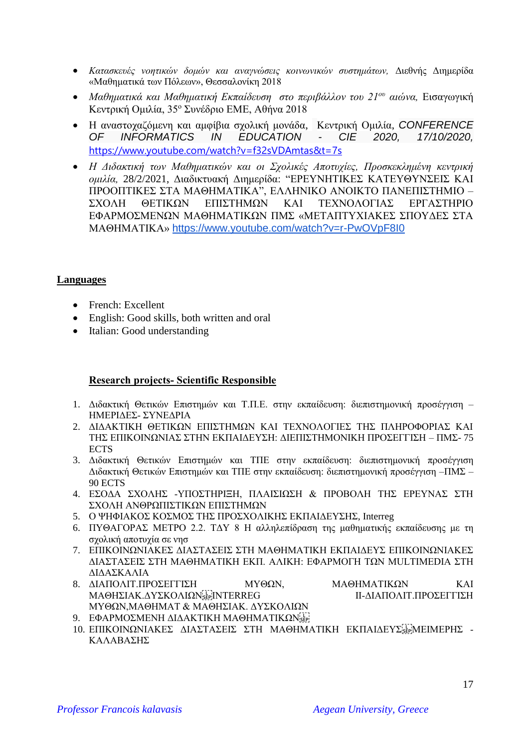- *Κατασκευές νοητικών δομών και αναγνώσεις κοινωνικών συστημάτων,* Διεθνής Διημερίδα «Μαθηματικά των Πόλεων», Θεσσαλονίκη 2018
- *Μαθηματικά και Μαθηματική Εκπαίδευση στο περιβάλλον του 21ου αιώνα,* Εισαγωγική Κεντρική Ομιλία, 35<sup>ο</sup> Συνέδριο ΕΜΕ, Αθήνα 2018
- Η αναστοχαζόμενη και αμφίβια σχολική μονάδα, Κεντρική Ομιλία, *CONFERENCE OF INFORMATICS IN EDUCATION - CIE 2020, 17/10/2020,*  <https://www.youtube.com/watch?v=f32sVDAmtas&t=7s>
- *Η Διδακτική των Μαθηματικών και οι Σχολικές Αποτυχίες, Προσκεκλημένη κεντρική ομιλία,* 28/2/2021, Διαδικτυακή Διημερίδα: "ΕΡΕΥΝΗΤΙΚΕΣ ΚΑΤΕΥΘΥΝΣΕΙΣ ΚΑΙ ΠΡΟΟΠΤΙΚΕΣ ΣΤΑ ΜΑΘΗΜΑΤΙΚΑ", ΕΛΛΗΝΙΚΟ ΑΝΟΙΚΤΟ ΠΑΝΕΠΙΣΤΗΜΙΟ – ΣΧΟΛΗ ΘΕΤΙΚΩΝ ΕΠΙΣΤΗΜΩΝ ΚΑΙ ΤΕΧΝΟΛΟΓΙΑΣ ΕΡΓΑΣΤΗΡΙΟ ΕΦΑΡΜΟΣΜΕΝΩΝ ΜΑΘΗΜΑΤΙΚΩΝ ΠΜΣ «ΜΕΤΑΠΤΥΧΙΑΚΕΣ ΣΠΟΥΔΕΣ ΣΤΑ ΜΑΘΗΜΑΤΙΚΑ» <https://www.youtube.com/watch?v=r-PwOVpF8I0>

### **Languages**

- French: Excellent
- English: Good skills, both written and oral
- Italian: Good understanding

### **Research projects- Scientific Responsible**

- 1. Διδακτική Θετικών Επιστημών και Τ.Π.Ε. στην εκπαίδευση: διεπιστημονική προσέγγιση ΗΜΕΡΙΔΕΣ- ΣΥΝΕΔΡΙΑ
- 2. ΔΙΔΑΚΤΙΚΗ ΘΕΤΙΚΩΝ ΕΠΙΣΤΗΜΩΝ ΚΑΙ ΤΕΧΝΟΛΟΓΙΕΣ ΤΗΣ ΠΛΗΡΟΦΟΡΙΑΣ ΚΑΙ ΤΗΣ ΕΠΙΚΟΙΝΩΝΙΑΣ ΣΤΗΝ ΕΚΠΑΙΔΕΥΣΗ: ΔΙΕΠΙΣΤΗΜΟΝΙΚΗ ΠΡΟΣΕΓΓΙΣΗ – ΠΜΣ- 75 **ECTS**
- 3. Διδακτική Θετικών Επιστημών και ΤΠΕ στην εκπαίδευση: διεπιστημονική προσέγγιση Διδακτική Θετικών Επιστημών και ΤΠΕ στην εκπαίδευση: διεπιστημονική προσέγγιση –ΠΜΣ – 90 ECTS
- 4. ΕΣΟΔΑ ΣΧΟΛΗΣ ΥΠΟΣΤΗΡΙΞΗ, ΠΛΑΙΣΙΩΣΗ & ΠΡΟΒΟΛΗ ΤΗΣ ΕΡΕΥΝΑΣ ΣΤΗ ΣΧΟΛΗ ΑΝΘΡΩΠΙΣΤΙΚΩΝ ΕΠΙΣΤΗΜΩΝ
- 5. Ο ΨΗΦΙΑΚΟΣ ΚΟΣΜΟΣ ΤΗΣ ΠΡΟΣΧΟΛΙΚΗΣ ΕΚΠΑΙΔΕΥΣΗΣ, Interreg
- 6. ΠΥΘΑΓΟΡΑΣ ΜΕΤΡΟ 2.2. ΤΔΥ 8 Η αλληλεπίδραση της μαθηματικής εκπαίδευσης με τη σχολική αποτυχία σε νησ
- 7. ΕΠΙΚΟΙΝΩΝΙΑΚΕΣ ΔΙΑΣΤΑΣΕΙΣ ΣΤΗ ΜΑΘΗΜΑΤΙΚΗ ΕΚΠΑΙΔΕΥΣ ΕΠΙΚΟΙΝΩΝΙΑΚΕΣ ΔΙΑΣΤΑΣΕΙΣ ΣΤΗ ΜΑΘΗΜΑΤΙΚΗ ΕΚΠ. ΑΛΙΚΗ: ΕΦΑΡΜΟΓΗ ΤΩΝ MULTIMEDIA ΣΤΗ ΔΙΔΑΣΚΑΛΙΑ
- 8. ΔΙΑΠΟΛΙΤ.ΠΡΟΣΕΓΓΙΣΗ ΜΥΘΩΝ, ΜΑΘΗΜΑΤΙΚΩΝ ΚΑΙ ΜΑΘΗΣΙΑΚ.ΔΥΣΚΟΛΙΩΝ, EFINTERREG II-ΔΙΑΠΟΛΙΤ.ΠΡΟΣΕΓΓΙΣΗ ΜΥΘΩΝ,ΜΑΘΗΜΑΤ & ΜΑΘΗΣΙΑΚ. ΔΥΣΚΟΛΙΩΝ
- 9. ΕΦΑΡΜΟΣΜΕΝΗ ΔΙΔΑΚΤΙΚΗ ΜΑΘΗΜΑΤΙΚΩΝ SEPI
- 10. ΕΠΙΚΟΙΝΩΝΙΑΚΕΣ ΔΙΑΣΤΑΣΕΙΣ ΣΤΗ ΜΑΘΗΜΑΤΙΚΗ ΕΚΠΑΙΔΕΥΣ<sup>[17</sup>]ΜΕΙΜΕΡΗΣ -ΚΑΛΑΒΑΣΗΣ